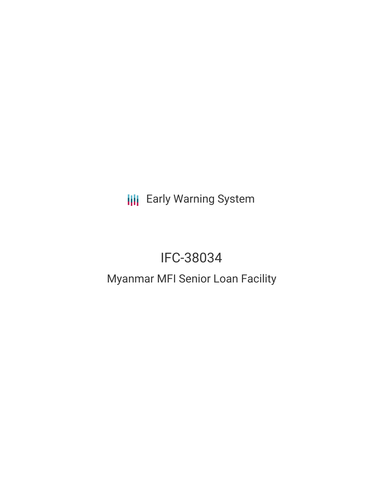**III** Early Warning System

# IFC-38034

# Myanmar MFI Senior Loan Facility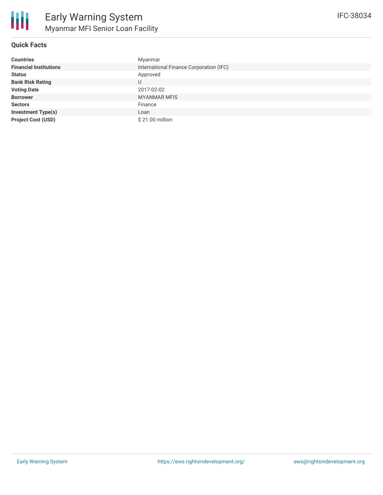

### **Quick Facts**

| <b>Countries</b>              | Myanmar                                 |
|-------------------------------|-----------------------------------------|
| <b>Financial Institutions</b> | International Finance Corporation (IFC) |
| <b>Status</b>                 | Approved                                |
| <b>Bank Risk Rating</b>       | U                                       |
| <b>Voting Date</b>            | 2017-02-02                              |
| <b>Borrower</b>               | <b>MYANMAR MFIS</b>                     |
| <b>Sectors</b>                | Finance                                 |
| <b>Investment Type(s)</b>     | Loan                                    |
| <b>Project Cost (USD)</b>     | \$21.00 million                         |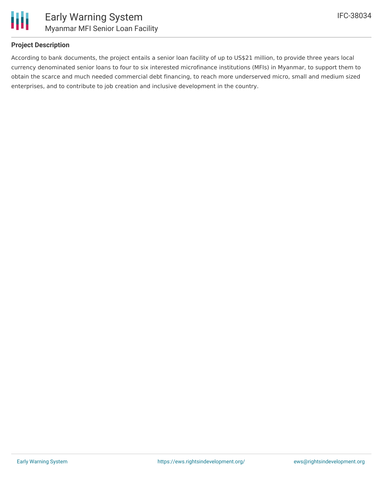

# **Project Description**

According to bank documents, the project entails a senior loan facility of up to US\$21 million, to provide three years local currency denominated senior loans to four to six interested microfinance institutions (MFIs) in Myanmar, to support them to obtain the scarce and much needed commercial debt financing, to reach more underserved micro, small and medium sized enterprises, and to contribute to job creation and inclusive development in the country.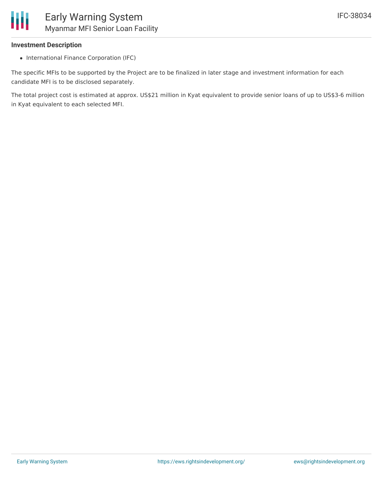### **Investment Description**

• International Finance Corporation (IFC)

The specific MFIs to be supported by the Project are to be finalized in later stage and investment information for each candidate MFI is to be disclosed separately.

The total project cost is estimated at approx. US\$21 million in Kyat equivalent to provide senior loans of up to US\$3-6 million in Kyat equivalent to each selected MFI.